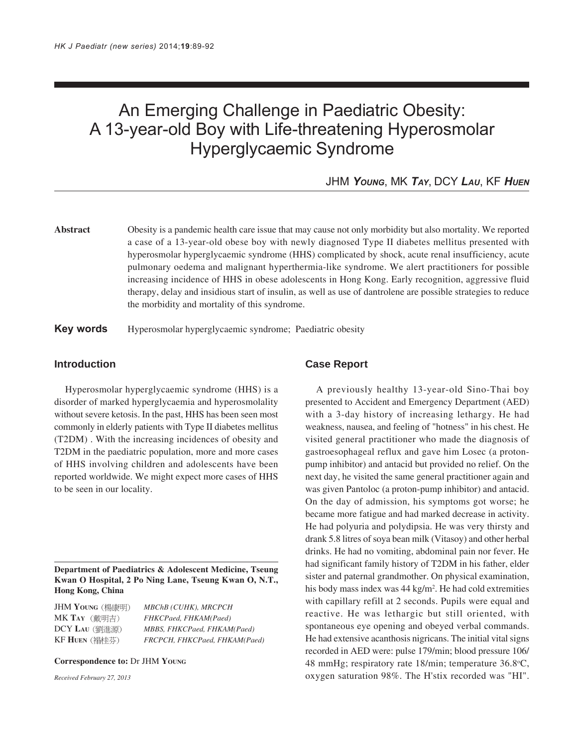# An Emerging Challenge in Paediatric Obesity: A 13-year-old Boy with Life-threatening Hyperosmolar Hyperglycaemic Syndrome

JHM *YOUNG*, MK *TAY*, DCY *LAU*, KF *HUEN*

**Abstract** Obesity is a pandemic health care issue that may cause not only morbidity but also mortality. We reported a case of a 13-year-old obese boy with newly diagnosed Type II diabetes mellitus presented with hyperosmolar hyperglycaemic syndrome (HHS) complicated by shock, acute renal insufficiency, acute pulmonary oedema and malignant hyperthermia-like syndrome. We alert practitioners for possible increasing incidence of HHS in obese adolescents in Hong Kong. Early recognition, aggressive fluid therapy, delay and insidious start of insulin, as well as use of dantrolene are possible strategies to reduce the morbidity and mortality of this syndrome.

**Key words** Hyperosmolar hyperglycaemic syndrome; Paediatric obesity

## **Introduction**

Hyperosmolar hyperglycaemic syndrome (HHS) is a disorder of marked hyperglycaemia and hyperosmolality without severe ketosis. In the past, HHS has been seen most commonly in elderly patients with Type II diabetes mellitus (T2DM) . With the increasing incidences of obesity and T2DM in the paediatric population, more and more cases of HHS involving children and adolescents have been reported worldwide. We might expect more cases of HHS to be seen in our locality.

**Department of Paediatrics & Adolescent Medicine, Tseung Kwan O Hospital, 2 Po Ning Lane, Tseung Kwan O, N.T., Hong Kong, China**

JHM **YOUNG** *MBChB (CUHK), MRCPCH* MK **TAY** *FHKCPaed, FHKAM(Paed)* DCY **LAU** *MBBS, FHKCPaed, FHKAM(Paed)* KF **HUEN** *FRCPCH, FHKCPaed, FHKAM(Paed)*

#### **Correspondence to:** Dr JHM **YOUNG**

*Received February 27, 2013*

## **Case Report**

A previously healthy 13-year-old Sino-Thai boy presented to Accident and Emergency Department (AED) with a 3-day history of increasing lethargy. He had weakness, nausea, and feeling of "hotness" in his chest. He visited general practitioner who made the diagnosis of gastroesophageal reflux and gave him Losec (a protonpump inhibitor) and antacid but provided no relief. On the next day, he visited the same general practitioner again and was given Pantoloc (a proton-pump inhibitor) and antacid. On the day of admission, his symptoms got worse; he became more fatigue and had marked decrease in activity. He had polyuria and polydipsia. He was very thirsty and drank 5.8 litres of soya bean milk (Vitasoy) and other herbal drinks. He had no vomiting, abdominal pain nor fever. He had significant family history of T2DM in his father, elder sister and paternal grandmother. On physical examination, his body mass index was 44 kg/m<sup>2</sup>. He had cold extremities with capillary refill at 2 seconds. Pupils were equal and reactive. He was lethargic but still oriented, with spontaneous eye opening and obeyed verbal commands. He had extensive acanthosis nigricans. The initial vital signs recorded in AED were: pulse 179/min; blood pressure 106/ 48 mmHg; respiratory rate 18/min; temperature 36.8°C, oxygen saturation 98%. The H'stix recorded was "HI".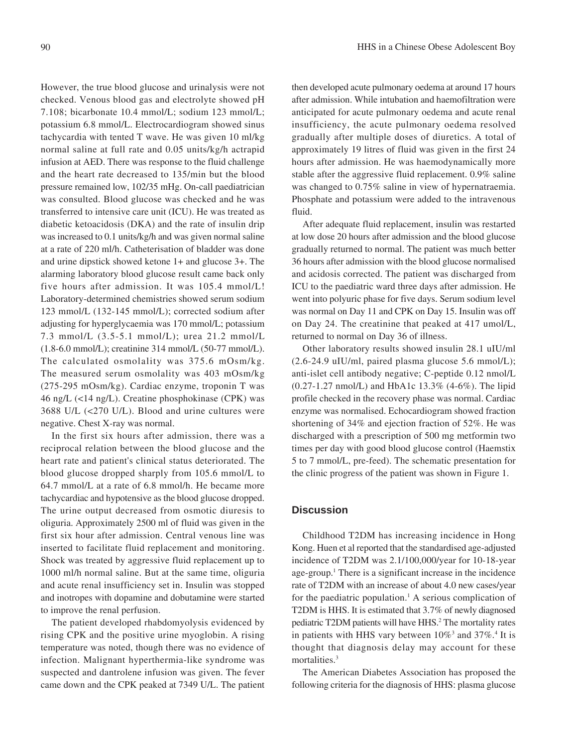However, the true blood glucose and urinalysis were not checked. Venous blood gas and electrolyte showed pH 7.108; bicarbonate 10.4 mmol/L; sodium 123 mmol/L; potassium 6.8 mmol/L. Electrocardiogram showed sinus tachycardia with tented T wave. He was given 10 ml/kg normal saline at full rate and 0.05 units/kg/h actrapid infusion at AED. There was response to the fluid challenge and the heart rate decreased to 135/min but the blood pressure remained low, 102/35 mHg. On-call paediatrician was consulted. Blood glucose was checked and he was transferred to intensive care unit (ICU). He was treated as diabetic ketoacidosis (DKA) and the rate of insulin drip was increased to 0.1 units/kg/h and was given normal saline at a rate of 220 ml/h. Catheterisation of bladder was done and urine dipstick showed ketone 1+ and glucose 3+. The alarming laboratory blood glucose result came back only five hours after admission. It was 105.4 mmol/L! Laboratory-determined chemistries showed serum sodium 123 mmol/L (132-145 mmol/L); corrected sodium after adjusting for hyperglycaemia was 170 mmol/L; potassium 7.3 mmol/L (3.5-5.1 mmol/L); urea 21.2 mmol/L (1.8-6.0 mmol/L); creatinine 314 mmol/L (50-77 mmol/L). The calculated osmolality was 375.6 mOsm/kg. The measured serum osmolality was 403 mOsm/kg (275-295 mOsm/kg). Cardiac enzyme, troponin T was 46 ng/L (<14 ng/L). Creatine phosphokinase (CPK) was 3688 U/L (<270 U/L). Blood and urine cultures were negative. Chest X-ray was normal.

In the first six hours after admission, there was a reciprocal relation between the blood glucose and the heart rate and patient's clinical status deteriorated. The blood glucose dropped sharply from 105.6 mmol/L to 64.7 mmol/L at a rate of 6.8 mmol/h. He became more tachycardiac and hypotensive as the blood glucose dropped. The urine output decreased from osmotic diuresis to oliguria. Approximately 2500 ml of fluid was given in the first six hour after admission. Central venous line was inserted to facilitate fluid replacement and monitoring. Shock was treated by aggressive fluid replacement up to 1000 ml/h normal saline. But at the same time, oliguria and acute renal insufficiency set in. Insulin was stopped and inotropes with dopamine and dobutamine were started to improve the renal perfusion.

The patient developed rhabdomyolysis evidenced by rising CPK and the positive urine myoglobin. A rising temperature was noted, though there was no evidence of infection. Malignant hyperthermia-like syndrome was suspected and dantrolene infusion was given. The fever came down and the CPK peaked at 7349 U/L. The patient then developed acute pulmonary oedema at around 17 hours after admission. While intubation and haemofiltration were anticipated for acute pulmonary oedema and acute renal insufficiency, the acute pulmonary oedema resolved gradually after multiple doses of diuretics. A total of approximately 19 litres of fluid was given in the first 24 hours after admission. He was haemodynamically more stable after the aggressive fluid replacement. 0.9% saline was changed to 0.75% saline in view of hypernatraemia. Phosphate and potassium were added to the intravenous fluid.

After adequate fluid replacement, insulin was restarted at low dose 20 hours after admission and the blood glucose gradually returned to normal. The patient was much better 36 hours after admission with the blood glucose normalised and acidosis corrected. The patient was discharged from ICU to the paediatric ward three days after admission. He went into polyuric phase for five days. Serum sodium level was normal on Day 11 and CPK on Day 15. Insulin was off on Day 24. The creatinine that peaked at 417 umol/L, returned to normal on Day 36 of illness.

Other laboratory results showed insulin 28.1 uIU/ml  $(2.6-24.9 \text{ uIU/ml}, \text{paired plasma glucose } 5.6 \text{ mmol/L});$ anti-islet cell antibody negative; C-peptide 0.12 nmol/L (0.27-1.27 nmol/L) and HbA1c 13.3% (4-6%). The lipid profile checked in the recovery phase was normal. Cardiac enzyme was normalised. Echocardiogram showed fraction shortening of 34% and ejection fraction of 52%. He was discharged with a prescription of 500 mg metformin two times per day with good blood glucose control (Haemstix 5 to 7 mmol/L, pre-feed). The schematic presentation for the clinic progress of the patient was shown in Figure 1.

#### **Discussion**

Childhood T2DM has increasing incidence in Hong Kong. Huen et al reported that the standardised age-adjusted incidence of T2DM was 2.1/100,000/year for 10-18-year age-group.<sup>1</sup> There is a significant increase in the incidence rate of T2DM with an increase of about 4.0 new cases/year for the paediatric population.<sup>1</sup> A serious complication of T2DM is HHS. It is estimated that 3.7% of newly diagnosed pediatric T2DM patients will have HHS.<sup>2</sup> The mortality rates in patients with HHS vary between  $10\%$ <sup>3</sup> and  $37\%$ .<sup>4</sup> It is thought that diagnosis delay may account for these mortalities.<sup>3</sup>

The American Diabetes Association has proposed the following criteria for the diagnosis of HHS: plasma glucose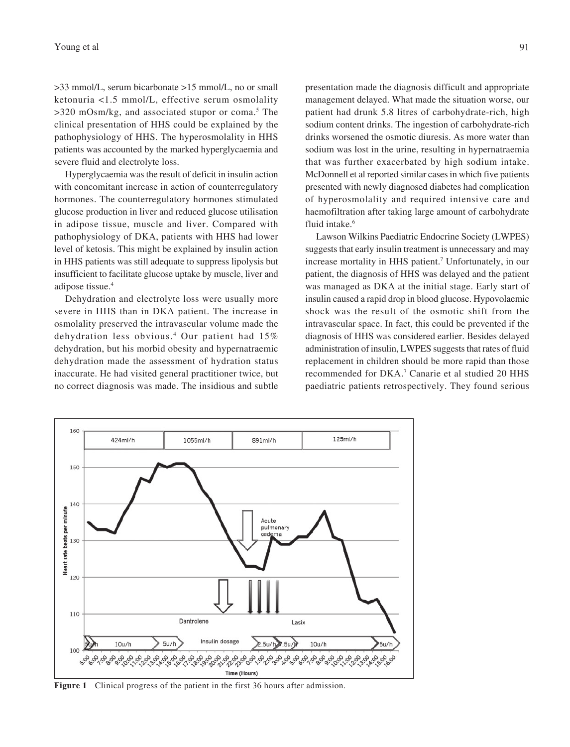>33 mmol/L, serum bicarbonate >15 mmol/L, no or small ketonuria <1.5 mmol/L, effective serum osmolality >320 mOsm/kg, and associated stupor or coma.<sup>5</sup> The clinical presentation of HHS could be explained by the pathophysiology of HHS. The hyperosmolality in HHS patients was accounted by the marked hyperglycaemia and severe fluid and electrolyte loss.

Hyperglycaemia was the result of deficit in insulin action with concomitant increase in action of counterregulatory hormones. The counterregulatory hormones stimulated glucose production in liver and reduced glucose utilisation in adipose tissue, muscle and liver. Compared with pathophysiology of DKA, patients with HHS had lower level of ketosis. This might be explained by insulin action in HHS patients was still adequate to suppress lipolysis but insufficient to facilitate glucose uptake by muscle, liver and adipose tissue.4

Dehydration and electrolyte loss were usually more severe in HHS than in DKA patient. The increase in osmolality preserved the intravascular volume made the dehydration less obvious.<sup>4</sup> Our patient had 15% dehydration, but his morbid obesity and hypernatraemic dehydration made the assessment of hydration status inaccurate. He had visited general practitioner twice, but **(1a) (1b)** no correct diagnosis was made. The insidious and subtle

presentation made the diagnosis difficult and appropriate management delayed. What made the situation worse, our patient had drunk 5.8 litres of carbohydrate-rich, high sodium content drinks. The ingestion of carbohydrate-rich drinks worsened the osmotic diuresis. As more water than sodium was lost in the urine, resulting in hypernatraemia that was further exacerbated by high sodium intake. McDonnell et al reported similar cases in which five patients presented with newly diagnosed diabetes had complication of hyperosmolality and required intensive care and haemofiltration after taking large amount of carbohydrate fluid intake.<sup>6</sup>

Lawson Wilkins Paediatric Endocrine Society (LWPES) suggests that early insulin treatment is unnecessary and may increase mortality in HHS patient.7 Unfortunately, in our patient, the diagnosis of HHS was delayed and the patient was managed as DKA at the initial stage. Early start of insulin caused a rapid drop in blood glucose. Hypovolaemic shock was the result of the osmotic shift from the intravascular space. In fact, this could be prevented if the diagnosis of HHS was considered earlier. Besides delayed administration of insulin, LWPES suggests that rates of fluid replacement in children should be more rapid than those recommended for DKA.7 Canarie et al studied 20 HHS paediatric patients retrospectively. They found serious



**Figure 1** Clinical progress of the patient in the first 36 hours after admission.